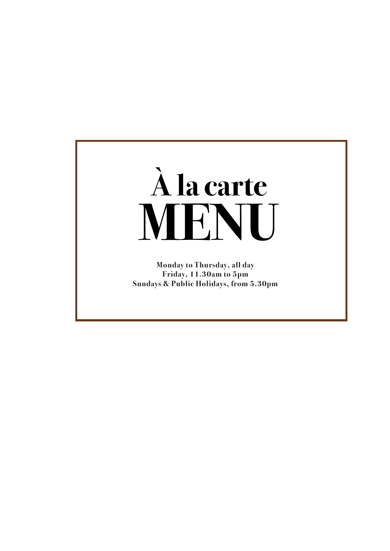

**Monday to Thursday, all day Friday, 11.30am to 5pm Sundays & Public Holidays, from 5.30pm**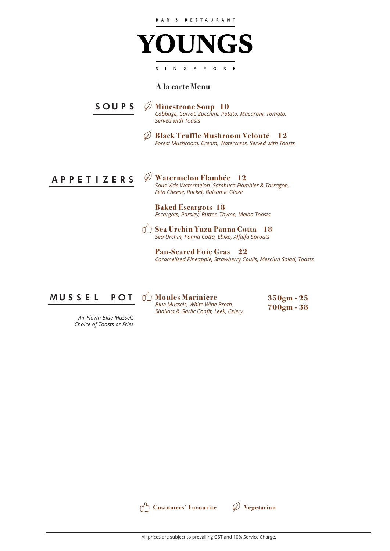

### **À la carte Menu**

**Minestrone Soup 10** *Cabbage, Carrot, Zucchini, Potato, Macaroni, Tomato. Served with Toasts* **SOUPS**

> **Black Truffle Mushroom Velouté 12** Ø *Forest Mushroom, Cream, Watercress. Served with Toasts*



**Watermelon Flambée 12** *Sous Vide Watermelon, Sambuca Flambler & Tarragon, Feta Cheese, Rocket, Balsamic Glaze*

#### **Baked Escargots 18** *Escargots, Parsley, Butter, Thyme, Melba Toasts*

**Sea Urchin Yuzu Panna Cotta 18** *Sea Urchin, Panna Cotta, Ebiko, Alfalfa Sprouts*

**Pan-Seared Foie Gras 22** *Caramelised Pineapple, Strawberry Coulis, Mesclun Salad, Toasts*



*Air Flown Blue Mussels Choice of Toasts or Fries* ל'ח **Moules Marinière**  *Blue Mussels, White Wine Broth, Shallots & Garlic Confit, Leek, Celery*  **350gm - 25 700gm - 38**

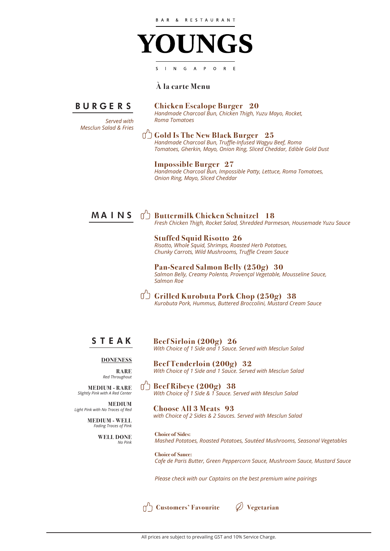

### **À la carte Menu**

**BURGERS**

*Served with Mesclun Salad & Fries*

#### **Chicken Escalope Burger 20**

*Handmade Charcoal Bun, Chicken Thigh, Yuzu Mayo, Rocket, Roma Tomatoes*

**Gold Is The New Black Burger 25** *Handmade Charcoal Bun, Truffle-Infused Wagyu Beef, Roma Tomatoes, Gherkin, Mayo, Onion Ring, Sliced Cheddar, Edible Gold Dust*

#### **Impossible Burger 27**

*Salmon Roe*

*Handmade Charcoal Bun, Impossible Patty, Lettuce, Roma Tomatoes, Onion Ring, Mayo, Sliced Cheddar*

## **MAINS**

**Buttermilk Chicken Schnitzel 18** *Fresh Chicken Thigh, Rocket Salad, Shredded Parmesan, Housemade Yuzu Sauce*

**Stuffed Squid Risotto 26** *Risotto, Whole Squid, Shrimps, Roasted Herb Potatoes, Chunky Carrots, Wild Mushrooms, Truffle Cream Sauce*

**Pan-Seared Salmon Belly (250g) 30** *Salmon Belly, Creamy Polenta, Provençal Vegetable, Mousseline Sauce,* 

**Grilled Kurobuta Pork Chop (250g) 38**

*Kurobuta Pork, Hummus, Buttered Broccolini, Mustard Cream Sauce*

### **STEAK**

**Beef Sirloin (200g) 26** *With Choice of 1 Side and 1 Sauce. Served with Mesclun Salad*

*With Choice of 1 Side and 1 Sauce. Served with Mesclun Salad*

#### **DONENESS**

**RARE** *Red Throughout*

**MEDIUM**

**MEDIUM - RARE** *Slightly Pink with A Red Center*

*Light Pink with No Traces of Red* **MEDIUM - WELL** *Fading Traces of Pink* **WELL DONE** *No Pink*

 $\Box$ **Beef Ribeye (200g) 38** *With Choice of 1 Side & 1 Sauce. Served with Mesclun Salad*

**Beef Tenderloin (200g) 32**

**Choose All 3 Meats 93** *with Choice of 2 Sides & 2 Sauces. Served with Mesclun Salad*

**Choice of Sides:** *Mashed Potatoes, Roasted Potatoes, Sautéed Mushrooms, Seasonal Vegetables*

**Choice of Sauce:** *Cafe de Paris Butter, Green Peppercorn Sauce, Mushroom Sauce, Mustard Sauce* 

*Please check with our Captains on the best premium wine pairings*

**Customers' Favourite Vegetarian**



All prices are subject to prevailing GST and 10% Service Charge.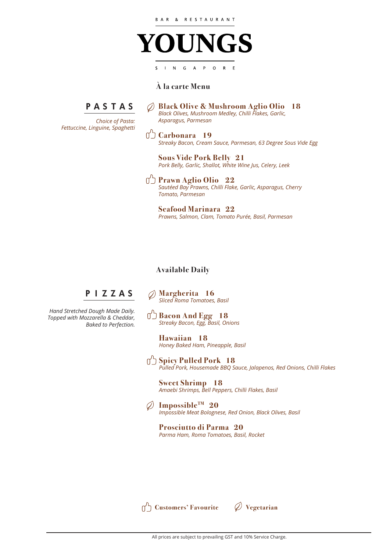

## **À la carte Menu**

# **PASTAS**

*Choice of Pasta: Fettuccine, Linguine, Spaghetti*

**Black Olive & Mushroom Aglio Olio 18**  $\mathcal{O}$ *Black Olives, Mushroom Medley, Chilli Flakes, Garlic, Asparagus, Parmesan*

**Carbonara** 19 *Streaky Bacon, Cream Sauce, Parmesan, 63 Degree Sous Vide Egg*

**Sous Vide Pork Belly 21**  *Pork Belly, Garlic, Shallot, White Wine Jus, Celery, Leek*

**Prawn Aglio Olio 22** *Sautéed Bay Prawns, Chilli Flake, Garlic, Asparagus, Cherry Tomato, Parmesan*

**Seafood Marinara 22** *Prawns, Salmon, Clam, Tomato Purée, Basil, Parmesan*

### **Available Daily**

# **PIZZAS**

*Hand Stretched Dough Made Daily. Topped with Mozzarella & Cheddar, Baked to Perfection.*

**Margherita 16** O) *Sliced Roma Tomatoes, Basil* 

**Bacon And Egg 18** *Streaky Bacon, Egg, Basil, Onions*

**Hawaiian 18** *Honey Baked Ham, Pineapple, Basil*

**Spicy Pulled Pork 18** *Pulled Pork, Housemade BBQ Sauce, Jalapenos, Red Onions, Chilli Flakes*

**Sweet Shrimp 18** *Amaebi Shrimps, Bell Peppers, Chilli Flakes, Basil*

**ImpossibleTM 20**  *Impossible Meat Bolognese, Red Onion, Black Olives, Basil* 

**Prosciutto di Parma 20** *Parma Ham, Roma Tomatoes, Basil, Rocket*

**Customers' Favourite Vegetarian**

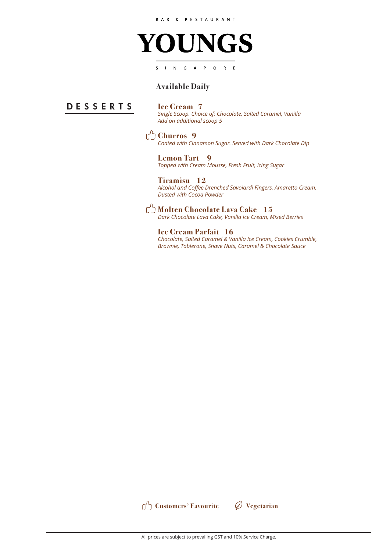

### **Available Daily**

### **DESSERTS**

**Ice Cream 7**

*Single Scoop. Choice of: Chocolate, Salted Caramel, Vanilla Add on additional scoop 5*

**Churros 9** 

*Coated with Cinnamon Sugar. Served with Dark Chocolate Dip*

**Lemon Tart 9**  *Topped with Cream Mousse, Fresh Fruit, Icing Sugar* 

**Tiramisu 12** *Alcohol and Coffee Drenched Savoiardi Fingers, Amaretto Cream. Dusted with Cocoa Powder*

**Molten Chocolate Lava Cake 15** *Dark Chocolate Lava Cake, Vanilla Ice Cream, Mixed Berries*

**Ice Cream Parfait 16** *Chocolate, Salted Caramel & Vanilla Ice Cream, Cookies Crumble, Brownie, Toblerone, Shave Nuts, Caramel & Chocolate Sauce*